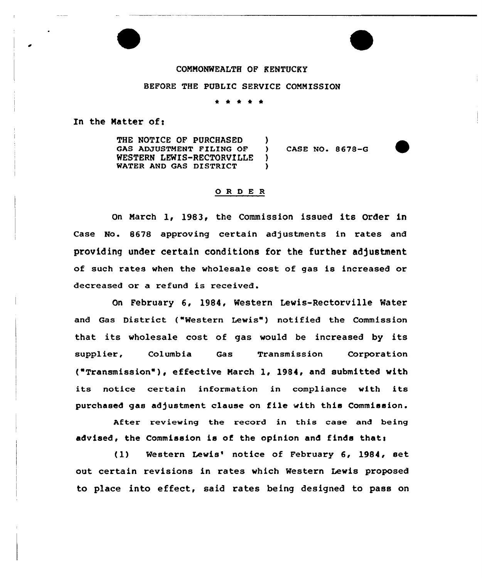#### COMMONWEALTH OF KENTUCKY

#### BEFORE THE PUBLIC SERVICE COMMISSION

\* \* \* <sup>4</sup> \*

 $\left\{ \begin{array}{c} 1 \\ 2 \end{array} \right\}$ 

)  $\lambda$ 

In the Matter of:

THE NOTICE OF PURCHASED GAS ADJUSTMENT FILING OF WESTERN LEWIS-RECTORVILLE WATER AND GAS DISTRICT

CASE NO. 8678-G

### 0 <sup>R</sup> <sup>D</sup> E <sup>R</sup>

On March 1, 1983, the Commission issued its Order in Case No. 8678 approving cextain adjustments in xates and providing under certain conditions for the further adjustment of such rates when the wholesale cost of gas is increased or decreased or a refund is received.

On February 6, 1984, Western Lewis-Rectorville Water and Gas District ("Western Lewis") notified the Commission that its wholesale cost of gas would be increased by its supplier, Columbia Gas Transmission Corporation ("Transmission" ), effective March 1, 1984, and submitted with its notice certain information in compliance with its purchased gas adjustment clause on file with this Commission.

After reviewing the record in this case and being advised, the Commission is of the opinion and finds that:

(1) Western Lewis' notice of February 6, 1984, set out certain revisions in rates which Western Lewis proposed to place into effect, said rates being designed to pass on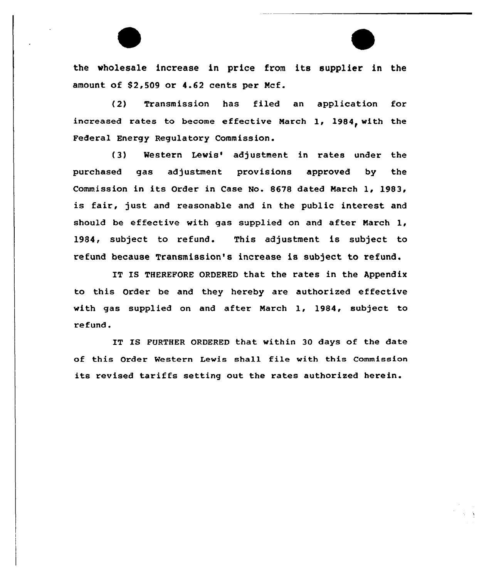the wholesale increase in price from its supplier in the amount of 52,509 or 4.62 cents per Ncf.

(2) Transmission has filed an application for increased rates to become effective March  $1, 1984,$  with the Federal Energy Regulatory Commission.

(3) Western Lewis'djustment in rates under the purchased gas adjustment provisions approved by the Commission in its Order in Case No. 8678 dated March 1, 1983, is fair, just and reasonable and in the public interest and should be effective with gas supplied on and after March 1, 1984, subject to refund. This adjustment is subject to refund because Transmission's increase is subject to refund.

IT IS THEREFORE ORDERED that the rates in the Appendix to this Order be and they hereby are authorized effective with gas supplied on and after March 1, 1984, subject to refund.

IT IS FURTHER ORDERED that within 30 days of the date of this Order Western Lewis shall file with this Commission its revised tariffs setting out the rates authorized herein.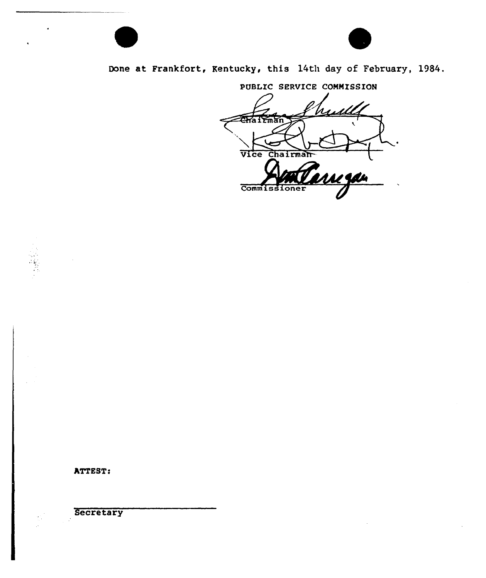

# Done at Frankfort, Kentucky, this 14th day of February, 1984.

PUBLIC SERVICE CONNISSION

 $\leq$ **Chairman** Vice Chairman Commissioner

ATTEST:

**Secretary**